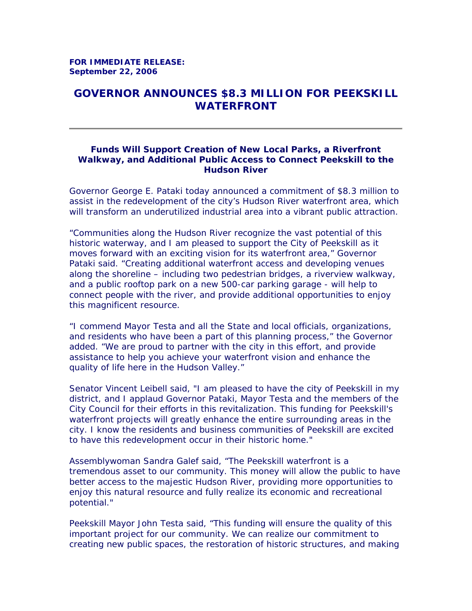## **GOVERNOR ANNOUNCES \$8.3 MILLION FOR PEEKSKILL WATERFRONT**

## **Funds Will Support Creation of New Local Parks, a Riverfront Walkway, and Additional Public Access to Connect Peekskill to the Hudson River**

Governor George E. Pataki today announced a commitment of \$8.3 million to assist in the redevelopment of the city's Hudson River waterfront area, which will transform an underutilized industrial area into a vibrant public attraction.

"Communities along the Hudson River recognize the vast potential of this historic waterway, and I am pleased to support the City of Peekskill as it moves forward with an exciting vision for its waterfront area," Governor Pataki said. "Creating additional waterfront access and developing venues along the shoreline – including two pedestrian bridges, a riverview walkway, and a public rooftop park on a new 500-car parking garage - will help to connect people with the river, and provide additional opportunities to enjoy this magnificent resource.

"I commend Mayor Testa and all the State and local officials, organizations, and residents who have been a part of this planning process," the Governor added. "We are proud to partner with the city in this effort, and provide assistance to help you achieve your waterfront vision and enhance the quality of life here in the Hudson Valley."

Senator Vincent Leibell said, "I am pleased to have the city of Peekskill in my district, and I applaud Governor Pataki, Mayor Testa and the members of the City Council for their efforts in this revitalization. This funding for Peekskill's waterfront projects will greatly enhance the entire surrounding areas in the city. I know the residents and business communities of Peekskill are excited to have this redevelopment occur in their historic home."

Assemblywoman Sandra Galef said, "The Peekskill waterfront is a tremendous asset to our community. This money will allow the public to have better access to the majestic Hudson River, providing more opportunities to enjoy this natural resource and fully realize its economic and recreational potential."

Peekskill Mayor John Testa said, "This funding will ensure the quality of this important project for our community. We can realize our commitment to creating new public spaces, the restoration of historic structures, and making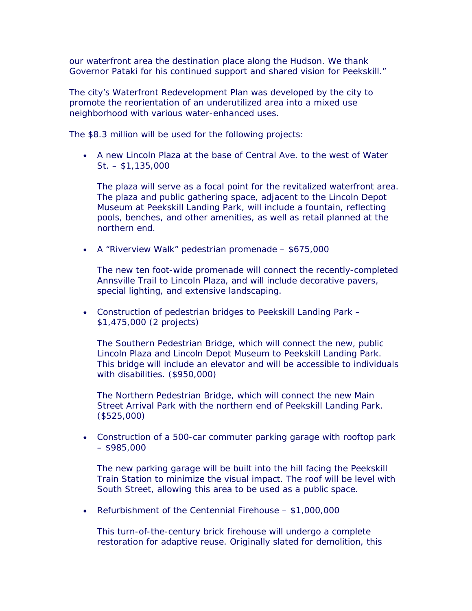our waterfront area the destination place along the Hudson. We thank Governor Pataki for his continued support and shared vision for Peekskill."

The city's Waterfront Redevelopment Plan was developed by the city to promote the reorientation of an underutilized area into a mixed use neighborhood with various water-enhanced uses.

The \$8.3 million will be used for the following projects:

• A new Lincoln Plaza at the base of Central Ave. to the west of Water St. – \$1,135,000

The plaza will serve as a focal point for the revitalized waterfront area. The plaza and public gathering space, adjacent to the Lincoln Depot Museum at Peekskill Landing Park, will include a fountain, reflecting pools, benches, and other amenities, as well as retail planned at the northern end.

• A "Riverview Walk" pedestrian promenade – \$675,000

The new ten foot-wide promenade will connect the recently-completed Annsville Trail to Lincoln Plaza, and will include decorative pavers, special lighting, and extensive landscaping.

• Construction of pedestrian bridges to Peekskill Landing Park – \$1,475,000 (2 projects)

The Southern Pedestrian Bridge, which will connect the new, public Lincoln Plaza and Lincoln Depot Museum to Peekskill Landing Park. This bridge will include an elevator and will be accessible to individuals with disabilities. (\$950,000)

The Northern Pedestrian Bridge, which will connect the new Main Street Arrival Park with the northern end of Peekskill Landing Park. (\$525,000)

• Construction of a 500-car commuter parking garage with rooftop park  $-$  \$985,000

The new parking garage will be built into the hill facing the Peekskill Train Station to minimize the visual impact. The roof will be level with South Street, allowing this area to be used as a public space.

• Refurbishment of the Centennial Firehouse – \$1,000,000

This turn-of-the-century brick firehouse will undergo a complete restoration for adaptive reuse. Originally slated for demolition, this